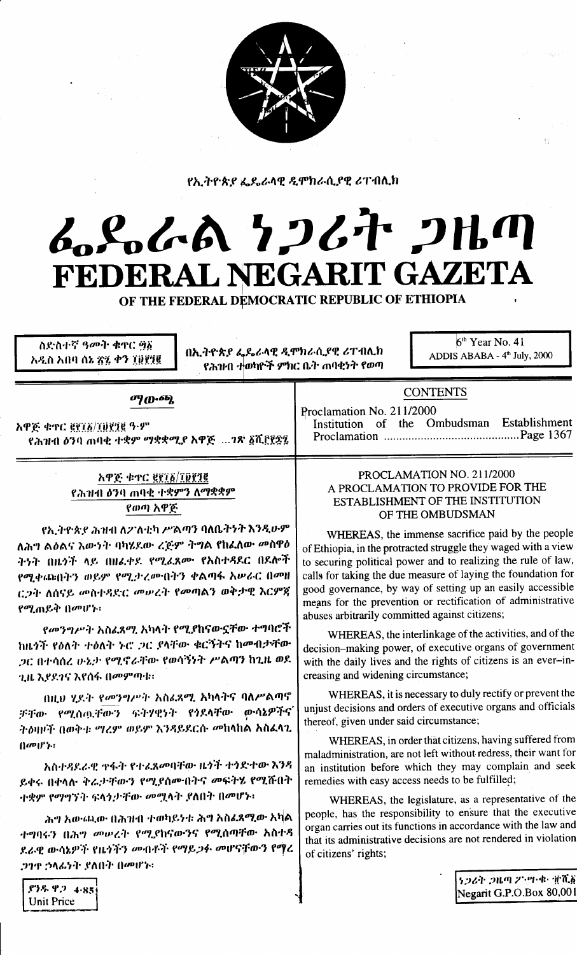

የኢትዮጵያ ፌዴራላዊ ዲሞክራሲያዊ ሪፐብሊክ

# LaSoGA 1267 2HM FEDERAL NEGARIT GAZETA

OF THE FEDERAL DEMOCRATIC REPUBLIC OF ETHIOPIA

ስድስተኛ ዓመት ቁዋር ዋሽ አዲስ አበባ ሰኔ ፳፯ ቀን ፲፱፻፺፪

በኢትዮጵያ ፌዴራላዊ ዲሞክራሲያዊ ሪፐብሊክ የሕዝብ ተወካዮች ምክር ቤት ጠባቂነት የወጣ

 $6<sup>th</sup>$  Year No. 41 ADDIS ABABA -  $4<sup>th</sup>$  July, 2000

*ወ*ዓሙ ማ

|                                            | CONTRAIN |  |
|--------------------------------------------|----------|--|
| Proclamation No. 211/2000                  |          |  |
| Institution of the Ombudsman Establishment |          |  |
|                                            |          |  |

**CONTENTS** 

አዋጅ ቁጥር ert& Tilere 9.ም የሕዝብ ዕንባ ጠባቂ ተቋም ማቋቋሚያ አዋጅ …ገጽ ፩ሺ፫፻፷፯

> አዋጅ ቁጥር ፪፻፲፩/፲፬፻፺፪ የሕዝብ ዕንባ ጠባቂ ተቋምን ለማቋቋም የወጣ አዋጅ

የኢትዮጵያ ሕዝብ ለፖለቲካ ሥልጣን ባለቤትነት እንዲሁም ለሕግ ልዕልና እውነት ባካሄደው ረጅም ትግል የከፈለው መስዋዕ ትንት በዜጎች ላይ በዘፌቀደ የሚፈጸሙ የአስተዳደር በደሎች የሚቀጨበትን ወይም የሚታረሙበትን ቀልጣፋ አሥራር በመዘ ር.ንት ለሰናይ መስተዳድር መሠረት የመጣልን ወቅታዊ እርምጀ የሚጠይቅ በመሆኑ፡

የመንግሥት አስፈጻሚ አካላት የሚያከናውኗቸው ተግባሮች ከዜጎች የዕለት ተዕለት ኑሮ ጋር ያላቸው ቁርኝትና ከመብታቸው 20 በተሳሰረ ሁኔታ የሚኖራቸው የወሳኝነት ሥልጣን ከጊዜ ወደ ጊዜ እያደገና እየሰፋ በመምጣቱ፣

በዚህ ሂደት የመንግሥት አስፈጻሚ አካላትና ባለሥልጣኖ ቻቸው የሚሰጧቸውን ፍትሃዊነት የ<mark>ኃደላቸው ውሳኔዎችና</mark> ትዕዛዞች በወቅቱ ማረም ወይም እንዳይደርሱ መከላከል አስፈላጊ  $\left(\left| \mathcal{O}^p \right| \right)^n$ 

አስተዳደራዊ ዋፋት የተፈጸመባቸው ዜጎች ተጎድተው እንዳ ይቀሩ በቀላሉ ቅሬታቸውን የሚደሰሙበትና መፍትሄ የሚሹበት ተቋም የማግኘት ፍላጎታቸው መሟላት ያለበት በመሆኑ፡

ሕግ አውጨው በሕዝብ ተወካይነቱ ሕግ አስፌጻሚው አካል ተግባሩን በሕግ መሠረት የሚያከናውንና የሚሰጣቸው አስተዳ ደራዊ ውሳኔዎች የዜጎችን መብቶች የማይጋፉ መሆናቸውን የማረ *ጋግ*ሞ ኃላፊነት ያለበት በመሆኑ፡

# PROCLAMATION NO. 211/2000 A PROCLAMATION TO PROVIDE FOR THE ESTABLISHMENT OF THE INSTITUTION OF THE OMBUDSMAN

WHEREAS, the immense sacrifice paid by the people of Ethiopia, in the protracted struggle they waged with a view to securing political power and to realizing the rule of law, calls for taking the due measure of laying the foundation for good governance, by way of setting up an easily accessible means for the prevention or rectification of administrative abuses arbitrarily committed against citizens;

WHEREAS, the interlinkage of the activities, and of the decision-making power, of executive organs of government with the daily lives and the rights of citizens is an ever-increasing and widening circumstance;

WHEREAS, it is necessary to duly rectify or prevent the unjust decisions and orders of executive organs and officials thereof, given under said circumstance;

WHEREAS, in order that citizens, having suffered from maladministration, are not left without redress, their want for an institution before which they may complain and seek remedies with easy access needs to be fulfilled;

WHEREAS, the legislature, as a representative of the people, has the responsibility to ensure that the executive organ carries out its functions in accordance with the law and that its administrative decisions are not rendered in violation of citizens' rights;

ያንዱ ዋጋ 4.85 **Unit Price** 

うつるとつにの クラツ・ター電気を Negarit G.P.O.Box 80,001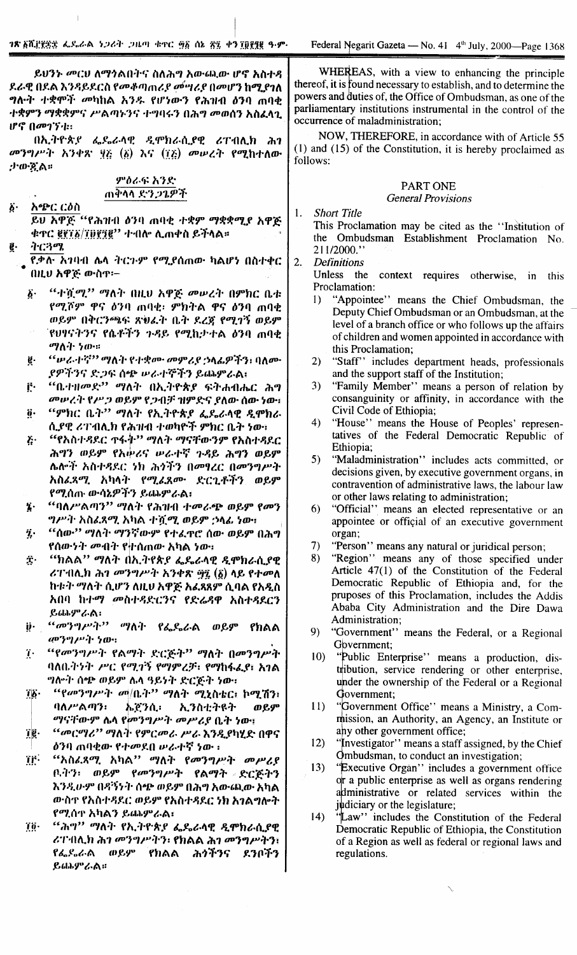WHEREAS, with a view to enhancing the principle ይህንኑ መርህ ለማንልበትና ስለሕግ አውጨው ሆኖ አስተዳ thereof, it is found necessary to establish, and to determine the ደራዊ በደል እንዳይደርስ የመቆጣጠሪያ መሣሪያ በመሆን ከሚያነለ powers and duties of, the Office of Ombudsman, as one of the *ግ*ሎት *ተቋሞች መ*ካከል አንዱ የሆነውን የሕዝብ ዕንባ ጠባቂ ተቋምን ማቋቋምና ሥልጣኑንና ተግባሩን በሕግ መወሰን አስፈላጊ occurrence of maladministration:  $\mathbf{U}^{\mathbf{C}}$  ( $\mathbf{I}^{\mathbf{C}}$ )  $\mathbf{I}^{\mathbf{C}}$ )  $\mathbf{I}^{\mathbf{C}}$ በኢትዮጵያ ፌዴራላዊ ዲሞክራሲያዊ ሪፐብሊክ ሕገ መንግሥት አንቀጽ ፶፩ (፩) እና (፲፩) መሠረት የሚከተለው follows: ታውጅል። ምዕራፍ አንድ PART ONE ጠቅሳሳ ድንጋጌዎች **General Provisions** አጭር ርዕስ δ.  $\mathbf{1}$ . **Short Title** ይህ አዋጅ "የሕዝብ ዕንባ ጠባቂ ተቋም ማቋቋሚያ አዋጅ This Proclamation may be cited as the "Institution of ቁዋር ፪፻፲፩/፲፱፻፺፪'' ተ፡በሎ ሊጠቀስ ይችላል። ትርጓሜ ą. 211/2000." <u>የቃሉ አገባብ ሌላ ትርጉም የሚ</u>ያሰጠው ካልሆነ በስተቀር  $2.$ **Definitions** 

- በዚህ አዋጅ ውስዋ፦
	- "ተሻማ" ማለት በዚህ አዋጅ መሠረት በምክር ቤቱ  $\vec{b}$ . የሚሾም ዋና ዕንባ ጠባቂ፡ ምክትል ዋና ዕንባ ጠባቂ ወይም በቅርንጫፍ ጽህፈት ቤት ደረጀ የሚገኝ ወይም የህፃናትንና የሴቶችን ጉዳይ የሚከታተል ዕንባ ጠባቂ ማለት ነው።
	- "ሥራተኛ" ማለት የተቋሙ መምሪያ ኃላፊዎችን፣ ባለሙ ę. *ያዎችንና ድጋፍ ሰጭ ሠራተኞችን ይ*ጨምራል፤
	- "ቤተዝመድ" ማለት በኢትዮጵያ ፍትሐብሔር ሕግ Ë. መሥረት የሥጋ ወይም የጋብቻ ዝምድና ያለው ሰው ነው፤
	- "ምክር ቤት" ማለት የኢትዮጵያ ፌዶራላዊ ዲሞክራ ij. ሲያዊ ሪፐብሊክ የሕዝብ ተወካዮች ምክር ቤት ነው፣
	- "የአስተዳደር ዋፋት'' ማለት ማናቸውንም የአስተዳደር  $\ddot{\mathbf{c}}$ ሕግን ወይም የአቍሪና ሥራተኛ ጉዳይ ሕግን ወይም ሌሎች አስተዳደር ነክ ሕጎችን በመፃረር በመንግሥት አስራጻሚ አካላት የሚፊጸሙ ድርጊቶችን ወይም የሚሰጡ ውሳኔዎችን ይጨምራል፣
	- "ባለሥልጣን" ማለት የሕዝብ ተመራጭ ወይም የመን ï. ግሥት አስፈጻሚ አካል ተሻሚ ወይም ኃላፊ ነው።
	- "ሰው'' ማለት ማንኛውም የተፈዋሮ ሰው ወይም በሕግ ij. የሰውንት መብት የተሰጠው አካል ነው።
	- "ክልል" ማለት በኢትየጵያ ፌዴራላዊ ዲሞክራሲያዊ Ţ. ሪፐብሊክ ሕገ መንግሥት አንቀጽ ጝ፤ (δ) ላይ የተመለ ከቱት ማለት ሲሆን ለዚህ አዋጅ አፈጻጸም ሲባል የአዲስ አበባ ከተማ መስተዳድርንና የድሬዳዋ አስተዳደርን ይጨምራል፡
	- $``$  (D'} )  $\mu$   $\lambda$ <sup>22</sup> "ሃለት የፌዴራል ወይም የክልል ij.  $\langle \phi \rangle = \langle \phi \rangle = \langle \phi \rangle$
	- "የመንግሥት የልማት ድርጅት" ማለት በመንግሥት 7. ባለቤትንት ሥር የሚገኝ የማምረቻ፣ የማከፋፌያ፣ አገል ግሎት ሰጭ ወይም ሌላ ዓይነት ድርጅት ነው።
	- $``$ የመንግሥት መ $/$ ቤት'' ማለት ሚኒስቴር፤ ኮሚሽን፤  $\overline{16}$ ባለሥልጣን፡ ኤሮንሲ፡ ኢንስቲትዩት **መይም** ማናቸውም ሴላ የመንግሥት መሥሪያ ቤት ነው፡
	- "መርማሪ" ማለት የምርመራ ሥራ እንዲያካሂድ በዋና ïg∙ ዕንባ ጠባቂው የተመደበ ሠራተኛ ነው ፡
	- $\ddot{\mathbf{r}}$ "አስፈጻሚ አካል'' ማለት የመንግሥት መሥሪያ ይትን፡ ወይም የመንግሥት የልማት ድርጅትን እንዲሁም በዳኝንት ሰጭ ወይም በሕግ አውጨው አካል ውስዋ የአስተዳደር ወይም የአስተዳደር ነክ አንልግሎት የሚሰዋ አካልን ይጨምራል፡
	- "ሕግ" ማለት የኢትዮጵያ ፌዴራላዊ ዲሞክራሲያዊ  $70 -$ ሪፐብሊክ ሕን መንግሥትን፡ የክልል ሕን መንግሥትን፣ የፌዴሬል ወይም የክልል ሕጎችንና ደንቦችን ይጨ**ምራል**።

parliamentary institutions instrumental in the control of the NOW, THEREFORE, in accordance with of Article 55

 $(1)$  and  $(15)$  of the Constitution, it is hereby proclaimed as

the Ombudsman Establishment Proclamation No.

Unless the context requires otherwise, in this Proclamation:

- $\mathbf{D}$ "Appointee" means the Chief Ombudsman, the Deputy Chief Ombudsman or an Ombudsman, at the level of a branch office or who follows up the affairs of children and women appointed in accordance with this Proclamation;
- "Staff" includes department heads, professionals  $2)$ and the support staff of the Institution;
- "Family Member" means a person of relation by  $3)$ consanguinity or affinity, in accordance with the Civil Code of Ethiopia;
- "House" means the House of Peoples' represen- $4)$ tatives of the Federal Democratic Republic of Ethiopia:
- $5)$ "Maladministration" includes acts committed, or decisions given, by executive government organs, in contravention of administrative laws, the labour law or other laws relating to administration:
- "Official" means an elected representative or an 6) appointee or official of an executive government organ;
- $7)$
- "Person" means any natural or juridical person;<br>"Region" means any of those specified under  $\mathbf{R}$ Article 47(1) of the Constitution of the Federal Democratic Republic of Ethiopia and, for the pruposes of this Proclamation, includes the Addis Ababa City Administration and the Dire Dawa Administration;
- "Government" means the Federal, or a Regional  $9)$ Government:
- $10<sub>0</sub>$ "Public Enterprise" means a production, distribution, service rendering or other enterprise, under the ownership of the Federal or a Regional Government:
- "Government Office" means a Ministry, a Com-11) mission, an Authority, an Agency, an Institute or any other government office;
- "Investigator" means a staff assigned, by the Chief  $12)$ Ombudsman, to conduct an investigation;
- "Executive Organ" includes a government office  $13)$ or a public enterprise as well as organs rendering administrative or related services within the judiciary or the legislature;
- $(4)$ "Law" includes the Constitution of the Federal Democratic Republic of Ethiopia, the Constitution of a Region as well as federal or regional laws and regulations.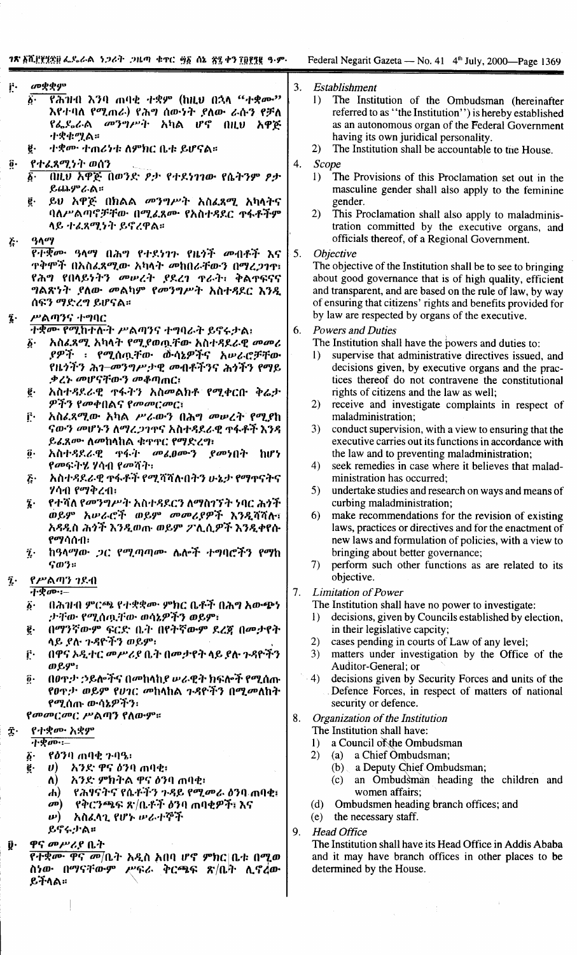#### መቋቋም ŗ.

- $\overline{b}$ . እየተባለ የሚጠራ) የሕግ ሰውንት ያለው ራሱን የቻለ የፌደ<sub>ወ</sub>ራል መንግሥት አካል ሆኖ በዚህ አዋጅ ተቋቁሟል።
- ተቋሙ ተጠሪነቱ ለምክር ቤቱ ይሆናል። ų.
- የተፈጸሚነት ወሰን  $\ddot{\mathbf{0}}$ .
	- በዚህ አዋጅ በወንድ ፆታ የተደነገገው የሴትንም ፆታ δ. ይጨምራል።
	- ይህ አዋጅ በክልል መንግሥት አስፈጸሚ አካላትና ë. ባለሥልጣኖቻቸው በሚፈጸሙ የአስተዳደር ዋፋቶችም ላይ ተፈጸሚነት ይኖረዋል።
- $90<sup>q</sup>$  $\ddot{c}$

የተቋሙ ዓላማ በሕግ የተደነገጉ የዜጎች መብቶች እና ዋቅሞች በአስፈጻሚው አካላት መከበራቸውን በማረ*ጋገ*ዋ፤ የሕግ የበላይነትን መሥረት ያደረገ ዋራት፣ ቅልዋፍናና ግልጽነት ያለው መልካም የመንግሥት አስተዳደር እንዲ ሰፍን ማድረግ ይሆናል።

- ሥልጣንና ተግባር
	- ተቋሙ የሚከተሉት ሥልጣንና ተግባራት ይኖሩታል፤
	- አስፈጻሚ አካላት የሚያወጧቸው አስተዳደራዊ መመሪ δ. *ያዎች ፡ የሚ*ሰዉቸው ውሳኔዎችና *አውራሮቻቸ*ው የዜጎችን ሕገ-መንግሥታዊ መብቶችንና ሕጎችን የማይ ቃረኑ መሆናቸውን መቆጣጠር፤
	- ę. አስተዳደራዊ ዋፋትን አስመልክቶ የሚቀርቡ ቅሬታ ዎችን የመቀበልና የመመርመር፣
	- ŕ٠ አስፈጻሚው አካል ሥራውን በሕግ መሠረት የሚያከ ናውን መሆኑን ለማረጋገዋና አስተዳደራዊ ዋፋቶች እንዳ ይፈጸሙ ስመከላከል ቁዋዋር የማድረግ፡
	- አስተዳደራዊ ዋፋት መፈፀሙን ያመነበት ከሆነ  $\vec{0}$ የመፍትሄ ሃሳብ የመሻት:
	- አስተዳደራዊ ተፋቶች የሚሻሻሉበትን ሁኔታ የማጥናትና ۶۰. ሃሳብ የማቅረብ፡
	- ï. የተሻለ የመንግሥት አስተዳደርን ለማስገኘት ነባር ሕጎች ወይም አሥራሮች ወይም መመሪያዎች እንዲሻሻሉ። አዳዲስ ሕጎች እንዲወጡ ወይም ፖሊሲዎች እንዲቀየሱ የማሳሰብ፡
	- $\vec{\mathbf{z}}$ . ከዓላማው ጋር የሚጣጣሙ ሌሎች ተግባሮችን የማከ ናወን።
- $\tilde{\mathbf{z}}$ . የሥልጣን ገደብ

 $7.800...$ 

- በሕዝብ ምርጫ የተቋቋሙ ምክር ቤቶች በሕግ አውጭነ δ. ታቸው የሚሰጧቸው ወሳኔዎችን ወይም፡
- በማንኛውም ፍርድ ቤት በየትኛውም ደረጀ በመታየት ę. ላይ ደሉ ጉዳዮችን ወይም፡
- ŕ. በዋና አዲተር መሥሪያ ቤት በመታየት ላይ ያሉ ጉዳዮችን  $\omega$   $g$   $g$   $v$  :
- በወዋ:ታ :ኃይሎችና በመከላከደ ሥራዊት ክፍሎች የሚሰጡ  $\overline{0}$ . *የዐ*ዋ*ታ ወይም የሀገር መ*ከላከል *ጉዳ*ዮችን በሚመለከት የሚሰጡ ውሳኔዎችን፡
- የመመርመር ሥልጣን የለውም።
- የተቋሙ አቋም Ţ.

 $7 - 900 - 1$ 

- *የዕንባ ጠባቂ ጉባዔ*፡ ቩ.
- አንድ ዋና ዕንባ ጠባቂ፥ ë.  $\boldsymbol{\theta}$ 
	- ለ) አንድ ምክትል ዋና ዕንባ ጠባቂ፣
	- የሕፃናትና የሴቶችን ጉዳይ የሚመራ ዕንባ ጠባቂ፣  $\mathbf{d}$
	- የቅርንጫፍ ጽ/ቤቶች ዕንባ ጠባቂዎች፤ እና  $\mathbf{a}$
	- አስፈላጊ የሆኑ ሠራተኞች  $\boldsymbol{\nu})$

ይኖሩታል።

ዋና መሥሪያ ቤት  $\vec{p}$ .

> የተቋሙ ዋና መ/ቤት አዲስ አበባ ሆኖ ምክር|ቤቱ በሚወ ስነው በማናቸውም ሥፍራ ቅርጫፍ ጽ/ቤት ሊኖረው ይችላል።

Establishment  $3<sub>1</sub>$ 

- The Institution of the Ombudsman (hereinafter  $\left| \right|$ referred to as "the Institution") is hereby established as an autonomous organ of the Federal Government having its own juridical personality.
- The Institution shall be accountable to the House.  $2)$
- $\overline{4}$ . Scope
	- The Provisions of this Proclamation set out in the  $\left| \right|$ masculine gender shall also apply to the feminine gender.
	- $2)$ This Proclamation shall also apply to maladministration committed by the executive organs, and officials thereof, of a Regional Government.
- $5<sub>1</sub>$ **Objective**

The objective of the Institution shall be to see to bringing about good governance that is of high quality, efficient and transparent, and are based on the rule of law, by way of ensuring that citizens' rights and benefits provided for by law are respected by organs of the executive.

6. **Powers and Duties** 

The Institution shall have the powers and duties to:

- supervise that administrative directives issued, and  $\left| \right|$ decisions given, by executive organs and the practices thereof do not contravene the constitutional rights of citizens and the law as well:
- $2)$ receive and investigate complaints in respect of maladministration:
- $3)$ conduct supervision, with a view to ensuring that the executive carries out its functions in accordance with the law and to preventing maladministration;
- $4)$ seek remedies in case where it believes that maladministration has occurred;
- $5)$ undertake studies and research on ways and means of curbing maladministration;
- $6)$ make recommendations for the revision of existing laws, practices or directives and for the enactment of new laws and formulation of policies, with a view to bringing about better governance;
- $7)$ perform such other functions as are related to its objective.

#### 7. **Limitation of Power**

The Institution shall have no power to investigate:

- decisions, given by Councils established by election,  $\mathbf{D}$ in their legislative capcity;
- $2)$ cases pending in courts of Law of any level;
- $3)$ matters under investigation by the Office of the Auditor-General: or
- $4)$ decisions given by Security Forces and units of the Defence Forces, in respect of matters of national security or defence.

Organization of the Institution 8.

- The Institution shall have:
	- a Council of the Ombudsman  $\mathbf{D}$
	- $2)$ (a) a Chief Ombudsman;
		- (b) a Deputy Chief Ombudsman;
		- an Ombudsman heading the children and  $(c)$ women affairs;
	- Ombudsmen heading branch offices; and  $(d)$
- the necessary staff.  $(e)$
- 9. **Head Office**

The Institution shall have its Head Office in Addis Ababa and it may have branch offices in other places to be determined by the House.

 $\sim$  1

 $\mathcal{L}_{\rm{eff}}$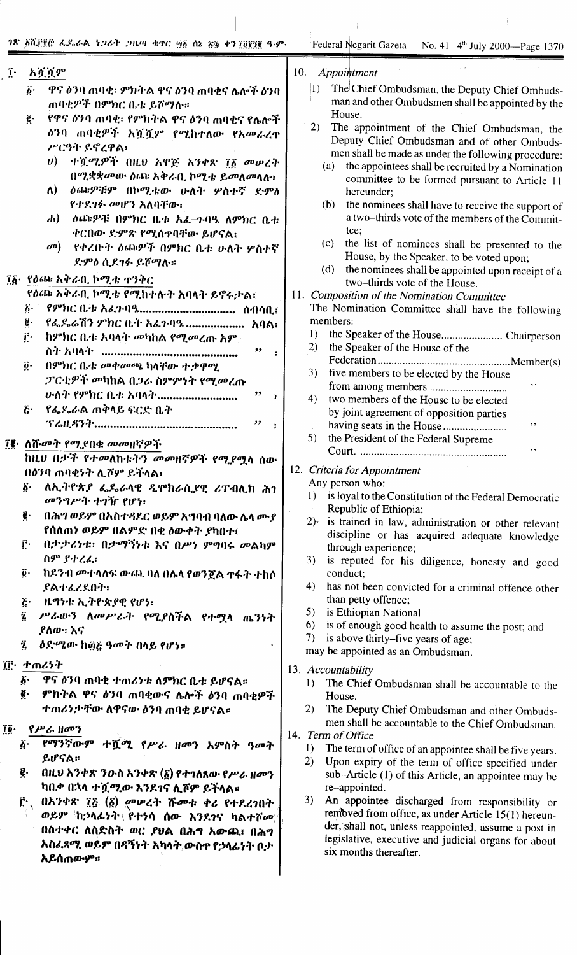| $\mathbf{r}$           | አሿሿም                                                            | 10.<br>Appointment                                                                                          |
|------------------------|-----------------------------------------------------------------|-------------------------------------------------------------------------------------------------------------|
|                        | ዋና ዕንባ ጠባቂ፡ ምክትል ዋና ዕንባ ጠባቂና ሌሎች ዕንባ<br>$\ddot{b}$ .            | $ 1\rangle$<br>The Chief Ombudsman, the Deputy Chief Ombuds-                                                |
|                        | ጠባቂዎች በምክር ቤቱ ይሾማሉ።                                             | man and other Ombudsmen shall be appointed by the                                                           |
|                        | የዋና ዕንባ ጠባቂ፡ የምክትል ዋና ዕንባ ጠባቂና የሌሎች<br>$\mathbf{e}$ .           | House.                                                                                                      |
|                        | <i>ዕንባ ጠባቂዎች አሿሿም የሚከተለው የአመራረ</i> ዋ                            | 2)<br>The appointment of the Chief Ombudsman, the                                                           |
|                        | ሥርዓት ይኖረዋል፡                                                     | Deputy Chief Ombudsman and of other Ombuds-                                                                 |
|                        | ተሿ <i>ሚዎች</i> በዚህ አዋጅ አንቀጽ ፲፩ መሠረት<br>$\boldsymbol{\theta}$     | men shall be made as under the following procedure:                                                         |
|                        | በሚቋቋመው ዕጨ አቅራቢ ኮሚቴ ይመለመላሉ።                                      | the appointees shall be recruited by a Nomination<br>(a)                                                    |
|                        | $\Lambda$ )<br><i>ዕጨዎቹም</i> በኮሚቴው ሁለት ሦስተኛ ድምዕ                  | committee to be formed pursuant to Article 11                                                               |
|                        | የተደገፉ መሆን አለባቸው።                                                | hereunder;                                                                                                  |
|                        |                                                                 | the nominees shall have to receive the support of<br>(b)<br>a two-thirds vote of the members of the Commit- |
|                        | ዕጨዎቹ በምክር ቤቱ አፈ-ንባዔ ለምክር ቤቱ<br>$\mathbf{d}$                     | tee;                                                                                                        |
|                        | ቀርበው ድምጽ የሚሰዋባቸው ይሆናል፡                                          | the list of nominees shall be presented to the<br>(c)                                                       |
|                        | የቀረቡት ዕጫዎች በምክር ቤቱ ሁለት ሦስተኛ<br>$(a^n)$                          | House, by the Speaker, to be voted upon;                                                                    |
|                        | ድምዕ ሲደገፉ ይሾማሉ።                                                  | the nominees shall be appointed upon receipt of a<br>(d)                                                    |
|                        | ፲፩· የዕጨ አቅራቢ ኮሚቴ ተንቅር                                           | two-thirds vote of the House.                                                                               |
|                        | የዕጮ አቅራቢ ኮሚቴ የሚከተለት አባላት ይኖሩታል፤                                 | 11. Composition of the Nomination Committee                                                                 |
|                        | $\ddot{b}$ .                                                    | The Nomination Committee shall have the following                                                           |
|                        | የፌዶራሽን ምክር ቤት አፈጉባዔ  አባል፤<br>$\mathbf{e}$ .                     | members:                                                                                                    |
|                        | ij.<br>ከምክር ቤቱ አባላት መካከል የሚመረጡ አም                               | 1)                                                                                                          |
|                        | "                                                               | 2)<br>the Speaker of the House of the                                                                       |
|                        | $\ddot{\boldsymbol{\theta}}$ .<br>በምክር ቤቱ መቀመጫ ካላቸው ተቃዋሚ        |                                                                                                             |
|                        | <i>ፓርቲዎች መካከል በጋራ ስምምነት የሚመረ</i> ጡ                              | 3)<br>five members to be elected by the House                                                               |
|                        | ሁለት የምክር ቤቱ አባላት<br>"                                           | $, \, \cdot$                                                                                                |
|                        |                                                                 | 4)<br>two members of the House to be elected                                                                |
|                        | የፌዴራል ጠቅላይ ፍርድ ቤት<br>$\ddot{c}$                                 | by joint agreement of opposition parties                                                                    |
|                        | ,,                                                              | , ,                                                                                                         |
|                        | ፲፪· ለሹመት የሚያበቁ መመዘኛዎች                                           | 5)<br>the President of the Federal Supreme                                                                  |
|                        | ከዚህ በታች የተመለከቱትን መመዘኛዎች የሚያሟላ ሰው                                | , ,                                                                                                         |
|                        | በዕንባ ጠባቂንት ሊሾም ይችላል፡                                            | 12. Criteria for Appointment                                                                                |
|                        | ለአ.ትዮጵያ ፌዶራላዊ ዲሞክራሲያዊ ሪፐብሊክ ሕገ<br>Ä٠                            | Any person who:                                                                                             |
|                        | መንግሥት ተገዥ የሆነ፡                                                  | is loyal to the Constitution of the Federal Democratic<br>$\mathbf{D}$                                      |
|                        | ğ.<br>በሕግ ወይም በአስተዳደር ወይም አግባብ ባለው ሴላ ሙያ                        | Republic of Ethiopia;                                                                                       |
|                        | የሰለጠነ ወይም በልምድ በቂ ዕውቀት ያካበተ፤                                    | 2) is trained in law, administration or other relevant                                                      |
|                        | በታታሪነቱ፡ በታማኝነቱ እና በሥነ ምግባሩ መልካም<br>ŕ٠                           | discipline or has acquired adequate knowledge                                                               |
|                        | ስም ያተረፈ፡                                                        | through experience;                                                                                         |
|                        |                                                                 | 3 <sup>)</sup><br>is reputed for his diligence, honesty and good                                            |
|                        | $\ddot{\boldsymbol{0}}$ .<br>ከደንብ መተላለፍ ውጨ ባለ በሌላ የወንጀል ዋፋት ተከሶ | conduct:                                                                                                    |
|                        | .የልተፈረደበት፡                                                      | 4)<br>has not been convicted for a criminal offence other                                                   |
|                        | ዜግንቱ ኢትዮጵያዊ የሆነ፡<br>$\ddot{\mathbf{c}}$                         | than petty offence;<br>is Ethiopian National<br>5)                                                          |
|                        | ï<br>ሥራውን ለመሥራት የሚያስችል የተሟላ ጤንነት                                | is of enough good health to assume the post; and<br>6)                                                      |
|                        | ያለው፡፡ እና                                                        | is above thirty-five years of age;<br><b>7</b> )                                                            |
|                        | ዕድሚው ከ፴፭ ዓመት በላይ የሆነ።<br>Ï,                                     | may be appointed as an Ombudsman.                                                                           |
|                        | 黛 すのとうと                                                         |                                                                                                             |
|                        | δ.<br>ዋና ዕንባ ጠባቂ ተጠሪንቱ ለምክር ቤቱ ይሆናል፡፡                           | 13. Accountability                                                                                          |
|                        | ë.<br>ምክትል ዋና ዕንባ ጠባቂውና ሌሎች ዕንባ ጠባቂዎች                           | The Chief Ombudsman shall be accountable to the<br>$\mathbf{D}$                                             |
|                        |                                                                 | House.                                                                                                      |
|                        | ተጠሪነታቸው ለዋናው ዕንባ ጠባቂ ይሆናል።                                      | The Deputy Chief Ombudsman and other Ombuds-<br>2)                                                          |
| $\tilde{1}\tilde{9}$ . | $\{P, P, \dots\}$                                               | men shall be accountable to the Chief Ombudsman.<br>14. Term of Office                                      |
|                        | የማንኛውም ተሿማ የሥራ ዘመን አምስት ዓመት<br>Ã٠                               | $\left( \right)$                                                                                            |
|                        | ይሆናል።                                                           | The term of office of an appointee shall be five years.<br>2)                                               |
|                        | g.<br>በዚህ አንቀጽ ንውስ አንቀጽ (፩) የተገለጸው የሥራ ዘመን                      | Upon expiry of the term of office specified under                                                           |
|                        | ካበቃ በኋላ ተሿ <i>ሚ</i> ው እንደገና ሊሾም ይችላል።                           | sub-Article (1) of this Article, an appointee may be<br>re-appointed.                                       |
|                        |                                                                 | 3)<br>An appointee discharged from responsibility or                                                        |
|                        | ፫· በአንቀጽ ፲፭ (፩) መሠረት ሹመቱ ቀሪ የተደረገበት                             | removed from office, as under Article 15(1) hereun-                                                         |
|                        | ወይም ከኃላፊንት የተነሳ ሰው እንደገና ካልተሾ <i>መ</i>                          | der, shall not, unless reappointed, assume a post in                                                        |
|                        | በስተቀር ለስድስት ወር ያሀል በሕግ አውጪ፤ በሕግ                                 | legislative, executive and judicial organs for about                                                        |
|                        | አስፈጸሚ ወይም በዳኝንት አካላት ውስተ የኃላፊንት ቦታ                              | six months thereafter.                                                                                      |
|                        | አይሰጠውም።                                                         |                                                                                                             |
|                        |                                                                 |                                                                                                             |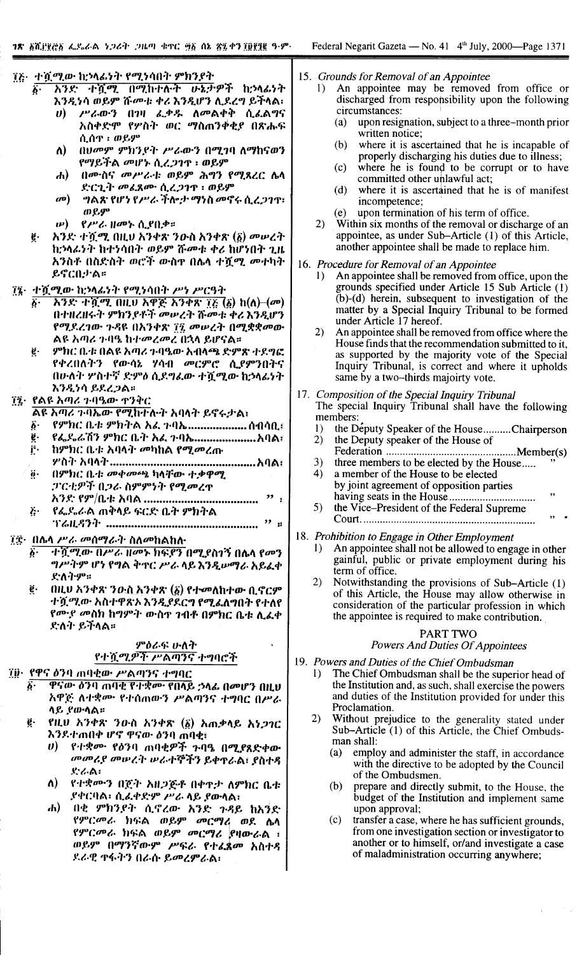ገጽ እሺደጀሮሽ ፌዴራሉ ነጋሪት ጋዜጣ ቁጥር ፵፬ ሰኔ ፳፯ ቀን ፲፱፻፺፪ ዓ-ም-፲፩ ተሿ*ሚ*ው ከኃላፊነት የሚነሳበት ምክንደት አንድ ተሻ*ሚ* በሚከተሉት ሁኔታዎች ከኃላፊነት  $\bar{\boldsymbol{\delta}}$  $\mathbf{D}$ እንዲነሳ ወይም ሹመቱ ቀሪ እንዲሆን ሊደረግ ይችላል፡ circumstances: ሥራውን በገዛ ፌቃዱ ለመልቀቅ ሲፌልግና  $\boldsymbol{\eta}$ .<br>አስቀድሞ የሦስት ወር ማስጠንቀቂያ በጽሑፍ  $(a)$ ሲሰዋ ፡ ወይም  $(b)$ በህመም ምክንደት ሥራውን በሚገባ ለማከናወን  $\Lambda$ ) የማይችል መሆኑ ሲረጋገዋ ፡ ወይም  $(c)$ በሙስና መሥራቱ ወይም ሕግን የሚጸረር ሴሳ  $\mathbf{d}$ ድርጊት መፈጸሙ ሲረጋገዋ ፡ ወይም  $(d)$ ግልጽ የሆነ የሥራ ችሎታ ማነስ መኖሩ ሲረ*ጋገ*ጥ፡  $\mathbf{a}$  $0.89$  $(e)$ የሥራ ዘመኑ ሲደቢቃ።  $\boldsymbol{\omega}$  $(2)$ አንድ ተሿሚ በዚህ አንቀጽ ንዑስ አንቀጽ (፩) መሠረት ë. ከ:›ላፊነት ከተነሳበት ወይም ሹመቱ ቀሪ ከሆነበት ጊዜ አንስቶ በስድስት ወሮች ውስዋ በሌላ ተሺሚ መተካት ይኖርበታል።  $\mathbf{D}$ ፲፯• ተሿሚው ከኃላፊነት የሚነሳበት ሥነ ሥርዓት  $\lambda$ ንድ ተሿሚ በዚህ አዋጅ አንቀጽ ፲፭ (፩) ከ(ለ)– $(\sigma^2)$  $\ddot{b}$ . በተዘረዘሩት ምክንያቶች መሠረት ሹመቱ ቀሪ እንዲሆን የሚደረገው ጉዳዩ በአንቀጽ ፲፯ መሥረት በሚቋቋመው  $2)$ ልዩ አጣሪ ጉባዔ ከተመረመረ በኋላ ይሆናል። ምክር ቤቱ በልዩ አጣሪ ንብዔው አብላጫ ድምጽ ተደግፎ ę. የቀረበለትን የውሳኔ ሃሳብ መርምሮ ሲያምንበትና በሁለት ሦስተኛ ድምዕ ሲደግፌው ተሿሚው ከኃላፊነት እንዲነሳ ይደረ*ጋ*ል። ፲፯· የልዩ አጣሪ ንብዔው ዋንቅር <u>ልዩ አጣሪ ንብኤው የሚከተሉት አባላት ይኖሩታል፣</u> members: የምክር ቤቱ ምክትል አፌ ጉባኤ................... ስብሳቢ፤ Ä٠  $\mathbf{D}$ ë.  $2)$ ከምክር ቤቱ አባላት መካከል የሚመረጡ  $\mathbf{r}$ .  $3)$  $\ddot{\theta}$ በምክር ቤቱ መቀመጫ ካላቸው ተቃዋሚ  $4)$ *ፓርቲዎች ቢጋራ ስምምነት የሚመረ*ዋ  $5)$ የፌዶራል ጠቅላይ ፍርድ ቤት ምክትል  $\ddot{c}$ ፲፰• በሴላ ሥራ መሰማራት ስለመከልከሉ  $\mathbf{D}$ ተሿማው በሥራ ዘመኑ ክፍያን በሚያስገኝ በሌላ የመን ö٠ ግሥትም ሆነ የግል ቅጥር ሥራ ላይ እንዲሥማራ አይፈቀ term of office. ድለትም።  $(2)$ በዚህ አንቀጽ ንውስ አንቀጽ  $(\delta)$  የተመለከተው ቢኖርም  $\ddot{\mathbf{e}}\cdot$ ተሿማው አስተዋጽኦ እንዲያደርግ የሚፌለግበት የተለየ የሙያ መስክ ከግምት ውስዋ ገብቶ በምክር ቤቱ ሊፈቀ ድለት ይችላል። ምዕራፍ ሁለት የተሿሚዎች ሥልጣንና ተግባሮች ፲፱· የዋና ዕንባ ጠባቂው ሥልጣንና ተግባር  $\mathbf{D}$ ዋናው 6ንባ ጠባቂ የተቋሙ የበላይ ኃላፊ በመሆን በዚህ ö. አዋጅ ለተቋሙ የተሰጠውን ሥልጣንና ተግባር በሥራ Proclamation. ላይ ያውሳል። 2) ġ. የዚሀ አንቀጽ ንውስ አንቀጽ (፩) አጠቃላይ አነ*ጋገ*ር እንደተጠበቀ ሆኖ ዋናው ዕንባ ጠባቂ፣ man shall: የተቋሙ የዕንባ ጠባቂዎች ጉባዔ በሚያጸድቀው U)  $(a)$ መመሪያ መሠረት ሠራተኞችን ይቀዋራል፤ ያስተዳ ደነራል፡ የተቋሙን በጀት አዘጋጅቶ በቀዋታ ለምክር ቤቱ ለ)  $(b)$ *ያቀርባል፡ ሲሬቀድም ሥራ* ላይ ያውላል፣ በቂ ምክንያት ሲኖረው አንድ ጉዳይ ከአንድ Ժա የምርመራ ክፍል ወይም መርማሪ ወደ ሴላ  $(c)$ የምርመራ ክፍል ወይም መርማሪ የዛውራል ፡

ወይም በማንኛውም ሥፍራ የተፈጸመ አስተዳ

ደራዊ ዋፋትን በራሱ ይመረምራል፡

- 15. Grounds for Removal of an Appointee
	- An appointee may be removed from office or discharged from responsibility upon the following
		- upon resignation, subject to a three–month prior written notice;
		- where it is ascertained that he is incapable of properly discharging his duties due to illness;
		- where he is found to be corrupt or to have committed other unlawful act;
		- where it is ascertained that he is of manifest incompetence:
		- upon termination of his term of office.
	- Within six months of the removal or discharge of an appointee, as under Sub-Article (1) of this Article. another appointee shall be made to replace him.
- 16. Procedure for Removal of an Appointee
	- An appointee shall be removed from office, upon the grounds specified under Article 15 Sub Article (1) (b)-(d) herein, subsequent to investigation of the matter by a Special Inquiry Tribunal to be formed under Article 17 hereof.
	- An appointee shall be removed from office where the House finds that the recommendation submitted to it, as supported by the majority vote of the Special Inquiry Tribunal, is correct and where it upholds same by a two-thirds majoirty vote.
- 17. Composition of the Special Inquiry Tribunal The special Inquiry Tribunal shall have the following
	- the Deputy Speaker of the House..........Chairperson
	- the Deputy speaker of the House of
	- three members to be elected by the House.....
	- a member of the House to be elected by joint agreement of opposition parties ,,
	- the Vice-President of the Federal Supreme

# 18. Prohibition to Engage in Other Employment

- An appointee shall not be allowed to engage in other gainful, public or private employment during his
- Notwithstanding the provisions of Sub-Article (1) of this Article, the House may allow otherwise in consideration of the particular profession in which<br>the appointee is required to make contribution.

## **PART TWO**

## **Powers And Duties Of Appointees**

# 19. Powers and Duties of the Chief Ombudsman

- The Chief Ombudsman shall be the superior head of the Institution and, as such, shall exercise the powers and duties of the Institution provided for under this
- Without prejudice to the generality stated under Sub-Article (1) of this Article, the Chief Ombuds
	- employ and administer the staff, in accordance with the directive to be adopted by the Council of the Ombudsmen.
	- prepare and directly submit, to the House, the budget of the Institution and implement same upon approval;
	- transfer a case, where he has sufficient grounds, from one investigation section or investigator to another or to himself, or/and investigate a case of maladministration occurring anywhere;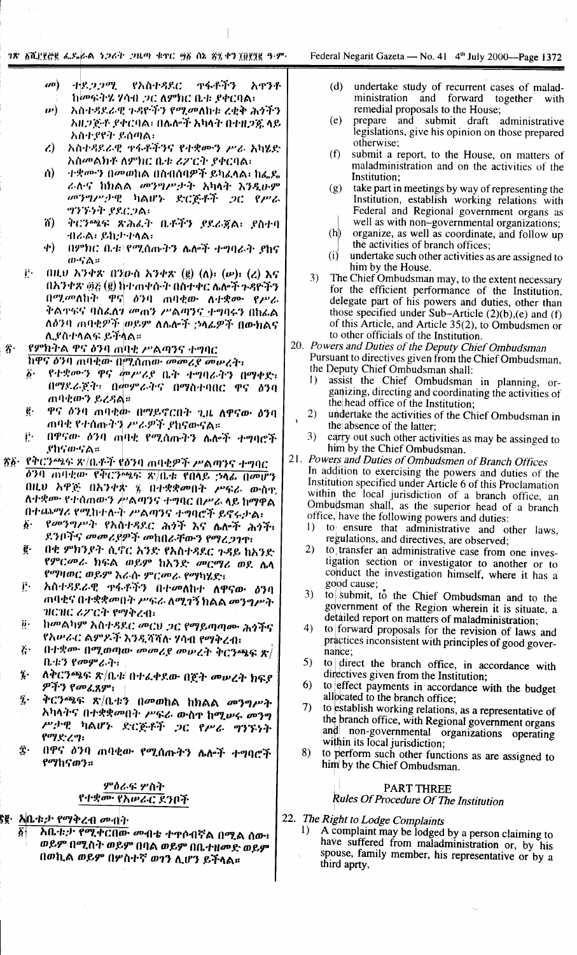- $\omega$ 平息つつみ **ዋፋቶችን** የአስተዳደር አዋንቶ ከመፍትሄ ሃሳብ ጋር ለምክር ቤቱ ያቀርባል፡
- አስተዳደራዊ ጉዳዮችን የሚመለከቱ ረቂቅ ሕጎችን  $\boldsymbol{m}$ አዘጋጅቶ ያቀርባል፡ በሴሎች አካላት በተዘጋጁ ላይ አስተያየት ይሰጣል፡
- አስተዳደራዊ ቀፋቶችንና የተቋሙን ሥራ አካሄድ  $\lambda$ አስመልክቶ ለምክር ቤቱ ሪፖርት ያቀርባል፡
- $\Lambda$ ተቋሙን በመወከል በስብሰባዎች ይካፈላል፡ ከፌዴ ራሉና ከክልል መንግሥታት አካላት እንዲሁም መንግሥታዊ ካልሆኑ ድርጅቶች ጋር የሥራ ግንኙነት ያደርጋል፡
- ă) ቅርንጫፍ ጽሕፈት ቤቶችን ያደራጀል፡ ያስተባ ብራል፡ ይኪታተላል፡
- $\Phi$ ) በምክር ቤቱ የሚሰጡትን ሌሎች ተግባራት ያከና  $\omega$ -GA:
- j.  $(11LU \lambda^2 + 8 \lambda^2 U^2)$   $(0.2LU \lambda^2 + 8 \lambda^2 U^2)$   $(1.2LU \lambda^2 + 8 \lambda^2 U^2)$ በአንቀጽ ፴፭ (፪) ከተጠቀሱት በስተቀር ሌሎች ጉዳዮችን በሚመለከት ዋና ዕንባ ጠባቂው ለተቋሙ የሥራ ቅልዋፍና ባስፌለተ *መ*ጠን ሥልጣንና ተግባሩን በከፌል ለዕንባ ጠባቂዎች ወይም ለሴሎች ;ንላፊዎች በውክልና ሊያስተላልፍ ይችላል።
- የምክትል ዋና ዕንባ ሐባቂ ሥልጣንና ተግባር  $\hat{\mathbf{z}}$ ከዋና ዕንባ ጠባቂው በሚሰጠው መመሪያ መሠረት፣
	- የተቋሙን ዋና መሥሪያ ቤት ተግባራትን በማቀድ፡ ۶۰ በማደራጀት፣ በመምራትና በማስተባበር ዋና ዕንባ ጠባቂውን ይረዳል።
	- ዋና ዕንባ ጠባቂው በማይኖርበት ጊዜ ለዋናው ዕንባ ë. ጠባቂ የተሰጡትን ሥራዎች ያከናውናል።
	- ji. በዋናው ዕንባ ጠባቂ የሚሰጡትን ሌሎች ተግባሮች .የከናውናል።
- ፳፩· የቅርንጫፍ ጽ/ቤቶች የዕንባ ጠባቂዎች ሥልጣንና ተግባር **630 ጠባቂው የቅርንጫፍ ጽ/ቤቱ የበላይ ኃላፊ በመሆን** በዚህ አዋጅ በአንቀጵ ፤ በተቋቋመበት ሥፍራ ውስቲ ለተቋሙ የተሰጠውን ሥልጣንና ተግባር በሥራ ላይ ከማዋል በተጨማሪ የሚከተሉት ሥልጣንና ተግባሮች ይኖሩታል:
	- የመንግሥት የአስተዳደር ሕጎች እና ሴሎች ሕጎች፣  $\ddot{\mathbf{0}}$ . ደንቦችና መመሪያዎች መከበራቸውን የማረጋገዋ፣
	- ę. በቂ ምክንያት ሲኖር አንድ የአስተዳደር ጉዳይ ከአንድ የምርመራ ክፍል ወይም ከአንድ መርማሪ ወደ ሴላ የማዛወር ወይም እራሱ ምር*መሪ የ*ማካሄድ፣
	- አስተዳደራዊ ዋፋቶችን በተመለከተ ለዋናው ዕንባ ŕ٠ ጠባቂና በተቋቋመበት ሥፍራ <mark>ለሚገኝ ክልል መንግ</mark>ሥት ዝርዝር ሪፖርት የማቅረብ፣
	- ከመልካም አስተዳደር መርህ ጋር የማይጣጣሙ ሕጎችና Ö٠ የአሥራር ልምዶች እንዲሻሻሉ ሃሳብ የማቅረብ፣
	- በተቋሙ በሚወጣው መመሪያ መሠረት ቅርንጫፍ ጽ/  $\ddot{\mathcal{L}}$ ቤቱን የመምራት፡
	- ለቅርንጫፍ ጽ/ቤቱ በተፈቀደው በጀት መሠረት ክፍያ  $\mathbf{z}$  . ዎችን የመፈጸም፥
	- ቅርንጫፍ ጽ/ቤቱን በመወከል ከክልል መንግሥት ĩ. አካላትና በተቋቋመበት ሥፍራ ውስዋ ከሚሥሩ መንግ ሥታዊ ካልሆኑ ድርጅቶች *ጋ*ር የሥራ ግንኙነት የማድረግ፡
	- በዋና ዕንባ ጠባቂው የሚሰጡትን ሌሎች ተግባሮች Ϋ́· የማከናወን።

## ምዕራፍ ሦስት የተቋሙ የአሠራር ደንቦች

ያ፪· አ<mark>ቤቱ*ታ የማቅረብ መብት*</mark>

.<br>አቤቱታ የሚቀርበው መብቴ ተዋሶብኛል በሚል ሰው፣  $\vec{b}$ ወይም በሚስት ወይም በባል ወይም በቤተዘመድ ወይም በወኪል ወይም በሦስተኛ ወ1ን ሊሆን ይችላል።

- undertake study of recurrent cases of malad- $(d)$ ministration and forward together with remedial proposals to the House;
- $(e)$ prepare and submit draft administrative legislations, give his opinion on those prepared otherwise:
- submit a report, to the House, on matters of  $(f)$ maladministration and on the activities of the Institution:
- $(g)$ take part in meetings by way of representing the Institution, establish working relations with Federal and Regional government organs as well as with non-governmental organizations:
- organize, as well as coordinate, and follow up  $(h)$
- the activities of branch offices;
- undertake such other activities as are assigned to  $(i)$ him by the House.
- The Chief Ombudsman may, to the extent necessary  $3)$ for the efficient performance of the Institution, delegate part of his powers and duties, other than those specified under Sub-Article  $(2)(b)$ , (e) and (f) of this Article, and Article 35(2), to Ombudsmen or to other officials of the Institution.
- 20. Powers and Duties of the Deputy Chief Ombudsman Pursuant to directives given from the Chief Ombudsman, the Deputy Chief Ombudsman shall:
	- assist the Chief Ombudsman in planning, or- $\left| \right|$ ganizing, directing and coordinating the activities of the head office of the Institution;
	- $2)$ undertake the activities of the Chief Ombudsman in the absence of the latter;
	- carry out such other activities as may be assinged to  $3)$ him by the Chief Ombudsman.
- 21. Powers and Duties of Ombudsmen of Branch Offices In addition to exercising the powers and duties of the Institution specified under Article 6 of this Proclamation within the local jurisdiction of a branch office, an Ombudsman shall, as the superior head of a branch office, have the following powers and duties:
	- to ensure that administrative and other laws,  $\left| \right|$ regulations, and directives, are observed;
	- to transfer an administrative case from one inves- $(2)$ tigation section or investigator to another or to conduct the investigation himself, where it has a good cause:
	- to submit, to the Chief Ombudsman and to the  $3)$ government of the Region wherein it is situate, a detailed report on matters of maladministration;
	- $4)$ to forward proposals for the revision of laws and practices inconsistent with principles of good governance:
	- to direct the branch office, in accordance with 5) directives given from the Institution;
	- to effect payments in accordance with the budget 6) allocated to the branch office;
	- 7) to establish working relations, as a representative of the branch office, with Regional government organs and non-governmental organizations operating within its local jurisdiction;
	- 8) to perform such other functions as are assigned to him by the Chief Ombudsman.

## **PART THREE**

Rules Of Procedure Of The Institution

- 22. The Right to Lodge Complaints
	- A complaint may be lodged by a person claiming to  $\bf{D}$ have suffered from maladministration or, by his spouse, family member, his representative or by a third aprty.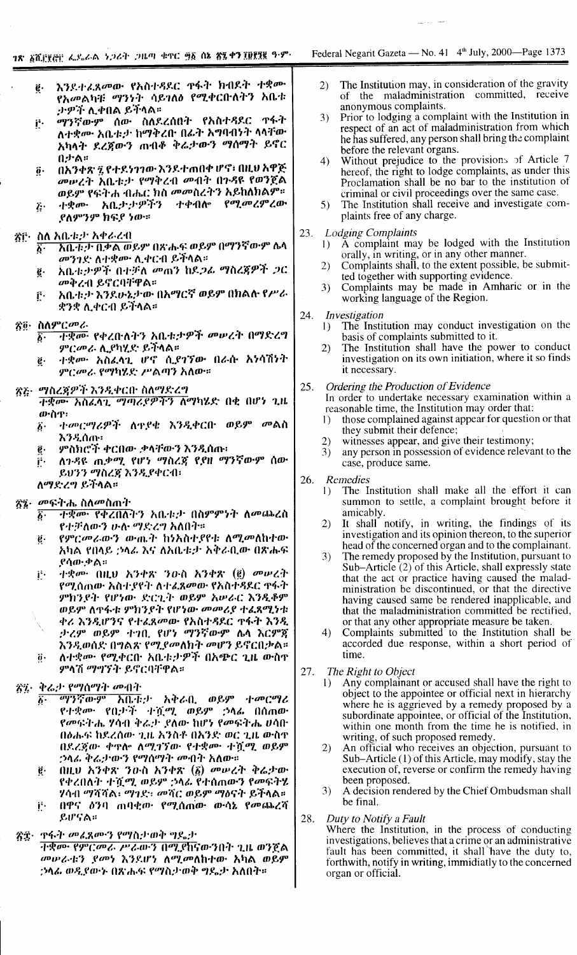- እንደተፈጸመው የአስተዳደር ዋፋት ክብደት ተቋሙ  $\ddot{e}$ . የአመልካቹ ማንነት ሳይገለል የሚቀርበለትን አቤቱ *ታዎች* ሊቀበል ይችላል።
- ማንኛውም ሰው ስለደረሰበት የአስተዳደር ዋፋት Ë. ለተቋሙ አቤቱታ ከማቅረቡ በፊት አግባብነት ላላቸው አካላት ደረጀውን ጠብቆ ቅሬታውን ማሰማት ይኖር በታል።
- በአንቀጽ ఓ የተደነገገው እንደተጠበቀ ሆኖ፣ በዚህ አዋጅ  $\overline{0}$ . መሥረት አቤቱታ የማቅረብ መብት በጉዳዩ የወንጀል ወይም የፍትሐ ብሔር ክስ መመስረትን አይከለክልም። ተቋሙ አቤታታዎችን ተቀብሎ የሚመረምረው  $\ddot{\mathcal{L}}$ .
- ያለምንም ክፍያ ነው።
- ፳፫· ስለ አቤቱታ አቀራረብ
	- አቤቱታ በቃል ወይም በጽሑፍ ወይም በማንኛውም ሌላ  $\overline{\boldsymbol{\delta}}$  . መንገድ ለተቋሙ ሊቀርብ ይችላል።
	- አቤቱ:ታዎች በተቻለ መጠን ከደ*ጋሌ* ማስረጀዎች *ጋ*ር ġ. መቅረብ ይኖርባቸዋል።
	- አቤቱ:ታ እንደሁኔታው በአማርኛ ወይም በክልሉ የሥራ ŕ٠ ቋንቋ ሊቀርብ ይችላል።
- ፳፬· ስለምር*ሙ*ራ
	- <u>ተቋም የቀረበ</u>ነለትን አቤቱታዎች መሠረት በማድረግ  $\overline{b}$ . ምርመራ ሊያካሂድ ይችላል።
	- ተቋሙ አስፈላጊ ሆኖ ሲያገኘው በራሱ እንሳሽነት ğ. ምርመራ የማካሄድ ሥልጣን አለው።
- ጽጅ- ማስረጃዎች እንዲቀርቡ ስለማድረግ
	- ትቋሙ አስፈላጊ *ማጣሪያዎችን ለ*ማካሄድ በቂ በሆነ ጊዜ ውስዋ፡
	- ተመርማሪዎች ለዋደቄ እንዲቀርቡ ወይም መልስ  $\ddot{\bm{b}}$ . እንዲሰጡ፡
	- ምስክሮች ቀርበው .ቃላቸውን እንዲሰጡ፤  $\vec{e}$
	- ለን-ጻዩ *ጤቃሚ የሆነ ማ*ስረጃ የያዘ ማንኛውም ሰው ŕ٠ ይህንን ማስረጃ እንዲያቀርብ፡
	- ለማድረግ ይችላል።
- ጽኜ· *መ*ፍትሔ ስለመስጠት
	- ተቋሙ የቀረበለትን አቤቱታ በስምምነት ለመጨረስ  $\overline{\boldsymbol{\delta}}$ . የተቻለውን ሁሉ *ማድረግ* አለበት።
	- የምርመራውን ውጤት ከነአስተያየቱ ለሚመለከተው ë. አካል የበላይ ;ንላፊ እና ለአቤቱታ አቅራቢው በጽሑፍ ያሳውቃል።
	- ተቋሙ በዚህ አንቀጽ ንዑስ አንቀጽ (፪) መሠረት j÷. የሚሰጠው አስተያየት ለተፈጸመው የአስተዳደር ዋፋት ምክንያት የሆነው ድርጊት ወይም አሥራር እንዲቆም ወይም ለዋፋቱ ምክንያት የሆነው መመሪያ ተፈጸሚነቱ ቀሪ እንዲሆንና የተፈጸመው የአስተዳደር ዋፋት እንዲ ታሪም ወይም ተገቢ የሆነ ማንኛውም ሴላ እርምጃ እንዲወሰድ በግልጽ የሚያመለክት መሆን ይኖርበታል። ለተቋሙ የሚቀርቡ አቤቱታዎች በአጭር ጊዜ ውስዋ  $\ddot{\mathbf{0}}$ .
	- ምላሽ *ማግኘት ይ*ኖርባቸዋል።
- ጽ፯· ቅሬታ የማሰማት መብት
	- ማንኛውም አቤቱታ አቅራቢ ወይም ተመር**ማሪ** የተቋሙ የቢታች ተሿሚ ወይም ኃላፊ በሰጠው *የመፍትሔ ሃሳ*ብ ቅሬታ ያለው ከሆነ የመፍትሔ ሀሳቡ በዕሑፍ ከደረሰው ጊዜ አንስቶ በአንድ ወር ጊዜ ውስዋ በደረጀው ቀዋሎ ለሚገኘው የተቋሙ ተቯሚ ወይም *;*ንላ*ሬ. ቅሬ;*ታውን የማሰማት መብት አለው።
	- በዚህ አንቀጽ ንዑስ አንቀጽ  $(\vec{\delta})$  መሥረት ቅሬታው ġ. የቀረበለት ተሿ*ሚ ወይም ኃ*ላፊ የተሰጠውን የመፍትሄ ሃሳብ ማሻሻል፡ ማገደ፡፡ መሻር ወይም ማዕናት ይችላል።
	- በዋና ዕንባ ጠባቂው የሚሰጠው ውሳኔ የመጨረሻ ij. ይሆናል።
- ጽ፰· ዋፋት መፈጸሙን የማስታወቅ ግዴታ
	- <u> ተቋሙ የምርመራ ሥራውን በሚያከናውንበት ጊዜ ወንጀል</u> መሥራቱን ያመነ እንደሆነ ለሚመለከተው አካል ወይም ;ነሳፊ ወዲያውኍ በጽሑፍ የማስታወቅ ግዴታ አለቢት።
- The Institution may, in consideration of the gravity  $(2)$ of the maladministration committed, receive anonymous complaints.
- Prior to lodging a complaint with the Institution in  $\mathcal{F}$ respect of an act of maladministration from which he has suffered, any person shall bring the complaint before the relevant organs.
- Without prejudice to the provisions of Article 7  $\Delta$ hereof, the right to lodge complaints, as under this Proclamation shall be no bar to the institution of criminal or civil proceedings over the same case.
- The Institution shall receive and investigate com- $5)$ plaints free of any charge.
- **Lodging Complaints** 23.
	- A complaint may be lodged with the Institution  $\left( \right)$ orally, in writing, or in any other manner.
	- Complaints shall, to the extent possible, be submit- $2)$ ted together with supporting evidence.
	- Complaints may be made in Amharic or in the working language of the Region. 3)
- $24$ Investigation
	- The Institution may conduct investigation on the  $\left| \right|$ basis of complaints submitted to it.
	- The Institution shall have the power to conduct  $(2)$ investigation on its own initiation, where it so finds it necessary.
- Ordering the Production of Evidence 25.

In order to undertake necessary examination within a reasonable time, the Institution may order that:

- those complained against appear for question or that  $\left| \right|$ they submit their defence;
- witnesses appear, and give their testimony;  $2)$
- $\overline{3}$ any person in possession of evidence relevant to the case, produce same.
- 26. Remedies
	- The Institution shall make all the effort it can  $\left| \right|$ summon to settle, a complaint brought before it amicably.
	- It shall notify, in writing, the findings of its  $(2)$ investigation and its opinion thereon, to the superior head of the concerned organ and to the complainant.
	- $3)$ The remedy proposed by the Institution, pursuant to Sub-Article (2) of this Article, shall expressly state that the act or practice having caused the maladministration be discontinued, or that the directive having caused same be rendered inapplicable, and that the maladministration committed be rectified, or that any other appropriate measure be taken.
	- $4)$ Complaints submitted to the Institution shall be accorded due response, within a short period of time.
- 27. The Right to Object
	- Any complainant or accused shall have the right to  $\mathbf{D}$ object to the appointee or official next in hierarchy where he is aggrieved by a remedy proposed by a subordinate appointee, or official of the Institution, within one month from the time he is notified, in writing, of such proposed remedy.
	- 2) An official who receives an objection, pursuant to Sub–Article (1) of this Article, may modify, stay the execution of, reverse or confirm the remedy having been proposed.
	- A decision rendered by the Chief Ombudsman shall  $3)$ be final.
- Duty to Notify a Fault 28.

Where the Institution, in the process of conducting investigations, believes that a crime or an administrative fault has been committed, it shall have the duty to, forthwith, notify in writing, immidiatly to the concerned organ or official.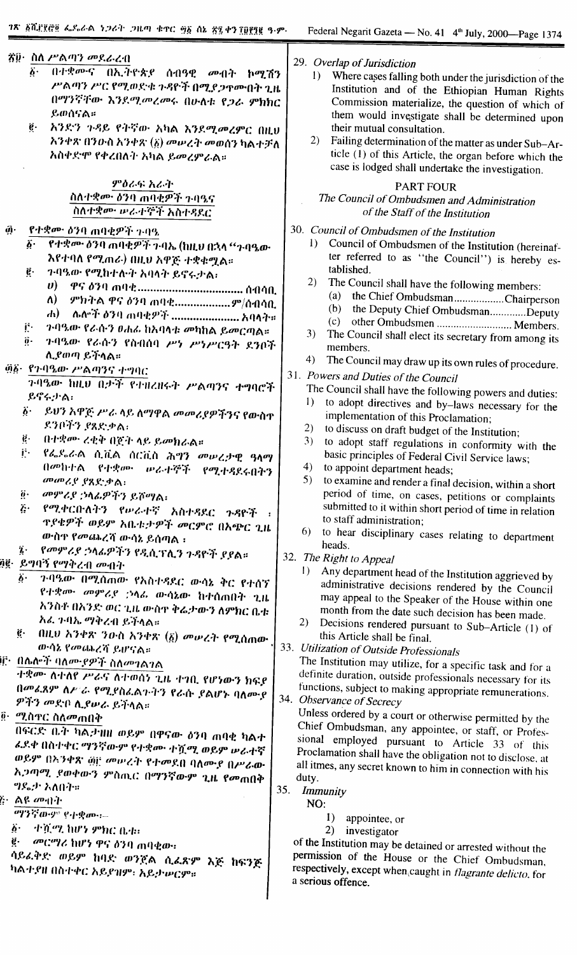| ኛ፱· ስለ ሥልጣን መደራረብ<br>በተቋሙና በኢትዮጵያ ሰብዓዊ መብት ኮሚሽን<br>$\ddot{\mathbf{b}}$ .                       | 29. Overlap of Jurisdiction<br>1)<br>Where cases falling both under the jurisdiction of the                                                          |
|------------------------------------------------------------------------------------------------|------------------------------------------------------------------------------------------------------------------------------------------------------|
| ሥልጣን ሥር የሚወደቁ ጉዳዮች በሚደጋዋሙበት ጊዜ<br>በማንኛቸው እንደሚመረመሩ በሁለቱ የጋራ ምክክር<br>ይወሰናል።                      | Institution and of the Ethiopian Human Rights<br>Commission materialize, the question of which of<br>them would investigate shall be determined upon |
| $\mathbf{e}$<br>አንድን ጉዳይ የትኛው አካል እንደሚመረምር በዚህ                                                 | their mutual consultation.                                                                                                                           |
| አንቀጽ በንዑስ አንቀጽ (፩) መሥረት መወሰን ካልተቻለ                                                             | 2)<br>Failing determination of the matter as under Sub-Ar-                                                                                           |
| አስቀድሞ የቀረበለት አካል ይመረምራል።                                                                       | ticle (1) of this Article, the organ before which the<br>case is lodged shall undertake the investigation.                                           |
| ምዕራፍ አራት                                                                                       | <b>PART FOUR</b>                                                                                                                                     |
| ስለተቋሙ ዕንባ ጠባቂዎች ንብዔና                                                                           | The Council of Ombudsmen and Administration                                                                                                          |
| ስለተቋሙ ሥራተኞች አስተዳደር                                                                             | of the Staff of the Institution                                                                                                                      |
| ĝ.<br>የተቋሙ ዕንባ ጠባቂዎች 7·ባዓ                                                                      | 30. Council of Ombudsmen of the Institution                                                                                                          |
| የተቋሙ ዕንባ ጠባቂዎች ንብኤ (ከዚህ በኋላ "ንብዔው<br>$\boldsymbol{\tilde{b}}$ .                                | Council of Ombudsmen of the Institution (hereinaf-<br>$\mathbf{D}$                                                                                   |
| እየተባለ የሚጠራ) በዚህ አዋጅ ተቋቁሟል።                                                                     | ter referred to as "the Council") is hereby es-<br>tablished.                                                                                        |
| $\boldsymbol{\varrho}$ .<br>ንባዔው የሚከተለባት አባላት ይኖሩታል፡<br><i>ሀ) ዋና ዕንባ ጠባቂ</i> . ስብሳቢ            | 2)<br>The Council shall have the following members:                                                                                                  |
| ለ)<br>_ ምክትል ዋና ዕንባ ጠባቂም/ሰብሳቢ                                                                  | (a)<br>the Chief OmbudsmanChairperson                                                                                                                |
| ሐ) - ሴሎች ዕንባ ጠባቂዎች  አባላት።                                                                      | (b)<br>the Deputy Chief OmbudsmanDeputy                                                                                                              |
| $\mathbf{r}$<br>ንባዔው የራሱን ፀሐፊ ከአባላቱ መካከል ይመርጣል።                                                | (c)<br>other Ombudsmen  Members.<br>3)                                                                                                               |
| $\ddot{\boldsymbol{\theta}}$ .<br>ንባዔው የራሱን የስብሰባ ሥነ ሥነሥርዓት ደንቦች                               | The Council shall elect its secretary from among its<br>members.                                                                                     |
| ሊያወጣ ይችላል።                                                                                     | 4)<br>The Council may draw up its own rules of procedure.                                                                                            |
| ፴፩· የጉባዔው ሥልጣንና ተግባር<br>7.0% ከዚህ በታች የተዘረዘሩት ሥልጣንና ተግባሮች                                       | 31. Powers and Duties of the Council                                                                                                                 |
| ይኖሩታል:                                                                                         | The Council shall have the following powers and duties:<br>$\bf{l}$                                                                                  |
| $\ddot{\mathbf{p}}$ .<br>ይህን አዋጅ ሥራ ላይ ለማዋል መመሪያዎችንና የውስዋ                                      | to adopt directives and by-laws necessary for the<br>implementation of this Proclamation;                                                            |
| ደንቦችን ያጸድቃል፡                                                                                   | 2)<br>to discuss on draft budget of the Institution;                                                                                                 |
| በተቋሙ ረቂቅ በጀት ላይ ይመክራል።<br>$\mathbf{e}$ .                                                       | 3)<br>to adopt staff regulations in conformity with the                                                                                              |
| j.<br>የፌዶራል ሲቪል ሰርቪስ ሕግን መሠረታዊ ዓላማ                                                             | basic principles of Federal Civil Service laws;<br>4)                                                                                                |
| በመከተል የተቋሙ ሠራተኞች የሚተዳደሩበትን<br>መመሪያ ያጸድቃል፡                                                      | to appoint department heads;<br>5) to examine and render a final decision, within a short                                                            |
| መምሪያ ኃላፊዎችን ይሾማል:<br>$\ddot{\theta}$ .                                                         | period of time, on cases, petitions or complaints                                                                                                    |
| E<br>የሚቀርቡለትን የሥራተኛ አስተዳደር ጉዳዮች                                                                | submitted to it within short period of time in relation                                                                                              |
| ዋያቄዎች ወይም አቤቱታዎች መርምሮ በአጭር ጊዜ                                                                  | to staff administration;<br>6)                                                                                                                       |
| ውስዋ የመጨረሻ ውሳኔ ይሰጣል ፡                                                                           | to hear disciplinary cases relating to department<br>heads.                                                                                          |
| የመምሪያ ኃሳፊዎችን የዲሲፕሊን ጉዳዮች ያያል።<br>$\ddot{\imath}$ .<br><u>፴፪· ይግባኝ የማቅረብ መብት</u>                | 32. The Right to Appeal                                                                                                                              |
| $\boldsymbol{b}$ .<br>ን ባዔው በሚሰጠው የአስተዳደር ውሳኔ ቅር የተሰኘ                                          | $\Gamma$<br>Any department head of the Institution aggrieved by                                                                                      |
| የተቋሙ መምሪያ ኃላፊ ውሳኔው ከተሰጠበት ጊዜ                                                                   | administrative decisions rendered by the Council                                                                                                     |
| አንስቶ በአንድ ወር ጊዜ ውስዋ ቅሬታውን ለምክር ቤቱ                                                              | may appeal to the Speaker of the House within one<br>month from the date such decision has been made.                                                |
| አፊ ንባኤ ማቅረብ ይችላል።                                                                              | 2)<br>Decisions rendered pursuant to Sub-Article (1) of                                                                                              |
| $\ddot{\textbf{e}}\cdot$<br>በዚህ አንቀጽ ንውስ አንቀጽ $(\tilde{\delta})$ መሠረት የሚሰጠው<br>ውሳኔ የመጨረሻ ይሆናል። | this Article shall be final.                                                                                                                         |
| it - በሴሎች ባለሙያዎች ስለመገልገል                                                                       | 33. Utilization of Outside Professionals<br>The Institution may utilize, for a specific task and for a                                               |
| ተቋሙ ለተለየ ሥራና ለተወሰነ ጊዜ ተገቢ የሆነውን ክፍያ                                                            | definite duration, outside professionals necessary for its                                                                                           |
| በመፈጸም ሰሥራ የሚያስፌልጉትን የራሱ ያልሆኑ ባለሙያ                                                              | functions, subject to making appropriate remunerations.                                                                                              |
| ዎችን መድበ ሲያሥራ ይችላል።                                                                             | 34. Observance of Secrecy                                                                                                                            |
| ፬· <i>ሚ</i> ስተር ስለመጠበቅ                                                                         | Unless ordered by a court or otherwise permitted by the<br>Chief Ombudsman, any appointee, or staff, or Profes-                                      |
| በፍርድ ቤት ካልታነነዘ ወይም በዋናው ዕንባ ጠባቂ ካልተ                                                            | sional employed pursuant to Article 33 of this                                                                                                       |
| ፈደቀ በስተቀር ማንኛውም የተቋሙ ተሿሚ ወይም ሥራተኛ<br>ወይም በአንቀጽ ፴፫ መሠረት የተመደበ ባለሙያ በሥራው                         | Proclamation shall have the obligation not to disclose, at                                                                                           |
| አጋጣሚ ያወቀውን ምስጢር በማንኛውም ጊዜ የመጠበቅ                                                                | all itmes, any secret known to him in connection with his<br>duty.                                                                                   |
| ግዶሪታ አለበት።                                                                                     | 35.<br><b>Immunity</b>                                                                                                                               |
| ልዩ መብት<br>٨٠                                                                                   | NO:                                                                                                                                                  |
| ማንኛውም የተቋሙ፡-                                                                                   | 1)<br>appointee, or                                                                                                                                  |
| $\ddot{\mathbf{0}}$ .<br>- ተሿሚ ከሆነ ምክር ቤቱ፡<br>ë.<br>መርማሪ ከሆነ ዋና ዕንባ ጠባቂው።                      | 2)<br>investigator                                                                                                                                   |
| ሳይፈቅድ ወይም ከባድ ወንጀል ሲፌጽም እጅ ከፍንጅ                                                                | of the Institution may be detained or arrested without the<br>permission of the House or the Chief Ombudsman,                                        |
| ካልተያዘ በስተቀር አይያዝም፡ አይታውርም።                                                                     | respectively, except when caught in flagrante delicto, for                                                                                           |
|                                                                                                | a serious offence.                                                                                                                                   |
|                                                                                                |                                                                                                                                                      |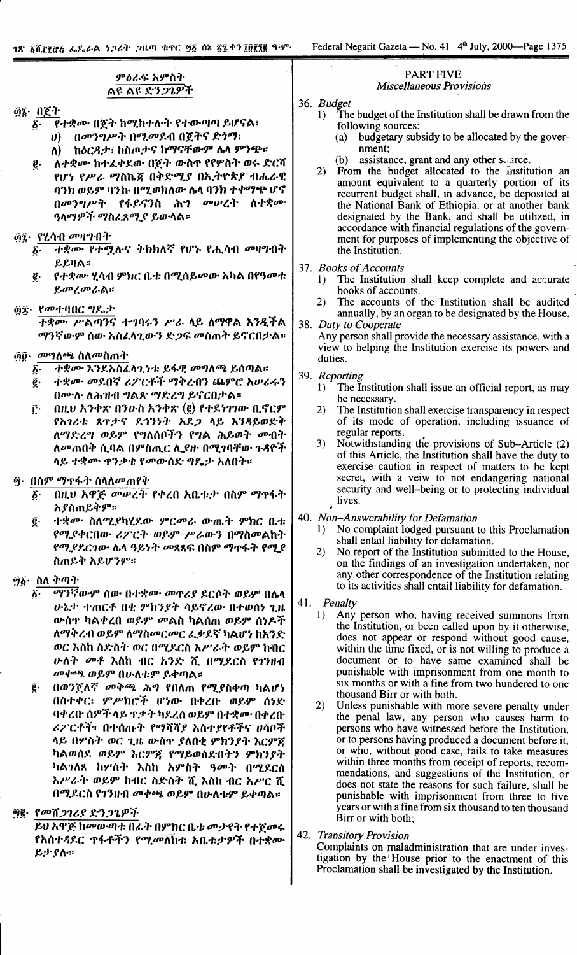# ምዕራፍ አምስት ልዩ ልዩ ድንጋጌዎች

#### ፴፮· በጀተ

የተቋሙ በጀት ከሚከተሉት የተውጣጣ ይሆናል፤  $\boldsymbol{\delta}$ .

- በመንግሥት በሚመደብ በጅትና ድነማ፤  $\boldsymbol{\theta}$
- ከዕርዳታ፣ ከስጦታና ከማናቸውም ሴላ ምንጭ።  $\Lambda$ )
- ለተቋሙ ከተፈቀደው በጀት ውስጥ የየሦስት ወሩ ድርሻ ĝ. የሆነ የሥራ ማስኬጀ በቅድሚያ በኢትዮጵያ ብሔራዊ ባንክ ወይም ባንኩ በሚወክለው ሴላ ባንክ ተቀማጭ ሆኖ በመንግሥት የፋይናንስ ሕግ መሠረት ለተቋሙ ዓላማዎች ማስፈጸሚያ ይውላል።

# <u>ଜୁନ୍ତି</u> ୧୪.୦ଏ *መ*ଧ୍ୟକାରୀ

- ተቋሙ የተሟሉና ትክክለኛ የሆኑ የሒሳብ መዛግብት  $\hat{b}$ . **ይይዛል።**
- የተቋሙ ሂሳብ ምክር ቤቱ በሚሰይመው አካል በየዓመቱ  $\boldsymbol{\rho}$  . ይመረመራል።
- **あヹ**゙゠*የሙ*ተባበር ግዴታ

ተቋሙ ሥልጣንና ተግባሩን ሥራ ላይ ለማዋል እንዲችል ማንኛውም ስው አስፈላጊውን ድጋፍ መስጠት ይኖርበታል።

## ፴፱· *መግ*ለጫ ስለመስጠት

- ĝ. ተቋሙ እንደአስፈላጊነቱ ይፋዊ መግለጫ ይሰጣል።
- ተቋሙ መደበኛ ሪፖርቶች ማቅረብን ጨምሮ አሠራሩን  $\vec{e}$  . በሙሉ ለሕዝብ ግልጽ ማድረግ ይኖርበታል።
- በዚህ አንቀጽ በንውስ አንቀጽ (፪) የተደነገገው ቢኖርም ŕ٠ የአገራቱ ጸዋታና ደኅንነት አደጋ ላይ እንዳይወድቅ ለማድረግ ወይም የግለሰቦችን የግል ሕይወት መብት ለመጠበቅ ሲባል በምስጢር ሲያዙ በሚገባቸው ጉዳዮች ላይ ተቋሙ ዋንቃቄ የመውሰድ ግዴታ አለበት።
- <del>ማ</del>· በስም ማዋፋት ስላለመጠየቅ
	- በዚህ አዋጅ መሠረት የቀረበ አቤቱታ በስም ማዋፋት  $\hat{b}$ . አያስጠይቅም።
	- ተቋሙ ስለሚያካሂደው ምርመራ ውጤት ምክር ቤቱ  $\overline{\mathbf{e}}$  . የሚያቀርበው ሪፖርት ወይም ሥራውን በማስመልከት የሚያደርገው ሴላ ዓይነት መጻጻፍ በስም ማጥፋት የሚያ ስጠይቅ አይሆንም።

# ፵፩∙ ስለ ቅጣት

- ማንኛውም ሰው በተቋሙ መዋሪያ ደርሶት ወይም በሴላ  $\ddot{\boldsymbol{b}}$ . ሁኔታ ተጠርቶ በቂ ምክንያት ሳይኖረው በተወሰነ ጊዜ ውስዋ ካልቀረበ ወይም መልስ ካልሰጠ ወይም ሰነዶች ለማቅረብ ወይም ለማስመርመር ፌቃደኛ ካልሆነ ከአንድ ወር እስከ ስድስት ወር በሚደርስ እሥራት ወይም ከብር ሁለት መቶ እስከ ብር አንድ ሺ በሚደርስ የገንዘብ መቀጫ ወይም በሁለቱም ይቀጣል።
- በወንጀለኛ መቅጫ ሕግ የበለጠ የሚያስቀጣ ካልሆነ  $\vec{e}$  . በስተቀር፡ ምሥክሮች ሆነው በቀረቡ ወይም ሰነድ ባቀረበ ሰዎች ላይ ዋቃት ካደረሰ ወይም በተቋሙ በቀረቡ ሪፖርቶች፣ በተሰጡት የማሻሻያ አስተያየቶችና ሀሳቦች ላይ በሦስት ወር ጊዜ ውስዋ ያለበቂ ምክንያት እርምጀ ካልወሰደ ወይም እርምጃ የማይወስድበትን ምክንያት ካልንለጸ ከዎስት እስከ አምስት ዓመት በሚደርስ እሥራት ወይም ከብር ስድስት ሺ እስከ ብር አሥር ሺ በሚደርስ የገንዘብ መቀጫ ወይም በሁለቱም ይቀጣል።

#### <u>ዓ፪· የመሽጋገሪያ ድንጋጌዎች</u>

ይህ አዋጅ ከመውጣቱ በራት በምክር ቤቱ መታየት የተጀመሩ የአስተዳደር ዋፋቶችን የሚመለከቱ አቤቱታዎች በተቋሙ ይታ የለ።

# **PART FIVE**

# **Miscellaneous Provisions**

- 36. Budget
	- The budget of the Institution shall be drawn from the  $1)$ following sources:
		- budgetary subsidy to be allocated by the gover- $(a)$ nment;
		- $(h)$ assistance, grant and any other surrce.
	- $2)$ From the budget allocated to the institution an amount equivalent to a quarterly portion of its recurrent budget shall, in advance, be deposited at the National Bank of Ethiopia, or at another bank designated by the Bank, and shall be utilized, in accordance with financial regulations of the government for purposes of implementing the objective of the Institution.

#### 37. Books of Accounts

- The Institution shall keep complete and accurate  $1)$ hooks of accounts.
- $2)$ The accounts of the Institution shall be audited annually, by an organ to be designated by the House.
- 38. Duty to Cooperate Any person shall provide the necessary assistance, with a view to helping the Institution exercise its powers and duties.
- 39. Reporting
	- The Institution shall issue an official report, as may  $1)$ be necessary.
	- $(2)$ The Institution shall exercise transparency in respect of its mode of operation, including issuance of regular reports.
	- Notwithstanding the provisions of Sub-Article (2)  $3)$ of this Article, the Institution shall have the duty to exercise caution in respect of matters to be kept secret, with a veiw to not endangering national security and well-being or to protecting individual lives.

40. Non-Answerability for Defamation

- 1) No complaint lodged pursuant to this Proclamation shall entail liability for defamation.
- $2)$ No report of the Institution submitted to the House, on the findings of an investigation undertaken, nor any other correspondence of the Institution relating to its activities shall entail liability for defamation.
- 41. Penalty
	- Any person who, having received summons from  $\mathbf{D}$ the Institution, or been called upon by it otherwise, does not appear or respond without good cause, within the time fixed, or is not willing to produce a document or to have same examined shall be punishable with imprisonment from one month to six months or with a fine from two hundered to one thousand Birr or with both.
	- $(2)$ Unless punishable with more severe penalty under the penal law, any person who causes harm to persons who have witnessed before the Institution. or to persons having produced a document before it, or who, without good case, fails to take measures within three months from receipt of reports, recommendations, and suggestions of the Institution, or does not state the reasons for such failure, shall be punishable with imprisonment from three to five years or with a fine from six thousand to ten thousand Birr or with both;

## 42. Transitory Provision

Complaints on maladministration that are under investigation by the House prior to the enactment of this Proclamation shall be investigated by the Institution.